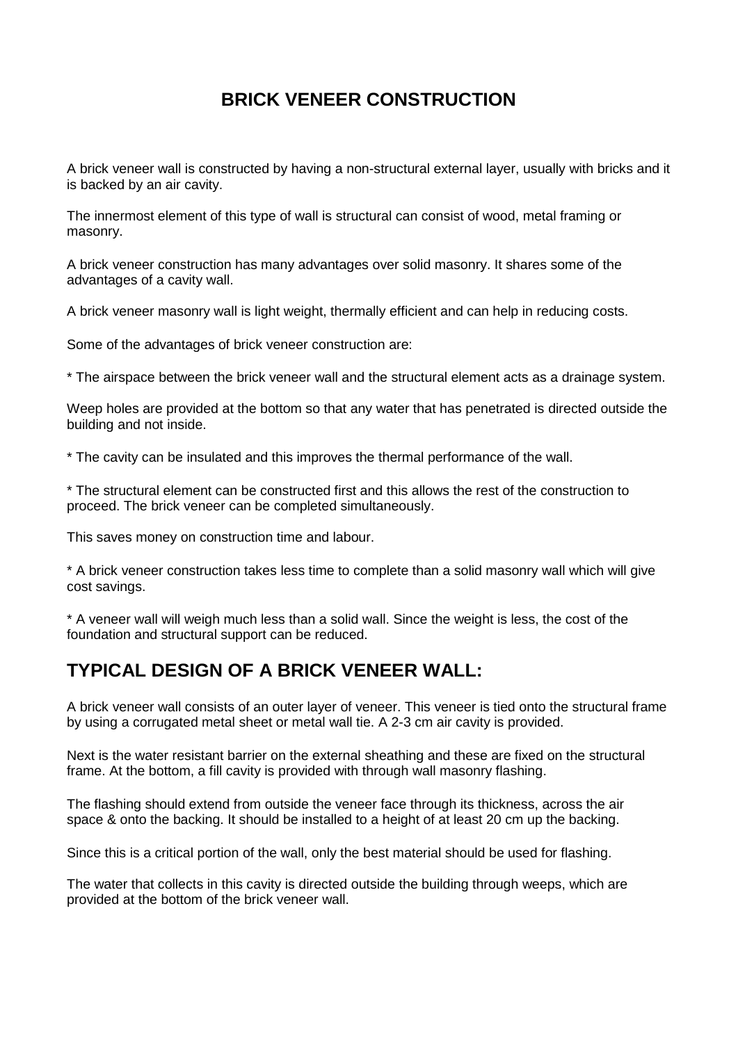## **BRICK VENEER CONSTRUCTION**

A brick veneer wall is constructed by having a non-structural external layer, usually with bricks and it is backed by an air cavity.

The innermost element of this type of wall is structural can consist of wood, metal framing or masonry.

A brick veneer construction has many advantages over solid masonry. It shares some of the advantages of a cavity wall.

A brick veneer masonry wall is light weight, thermally efficient and can help in reducing costs.

Some of the advantages of brick veneer construction are:

\* The airspace between the brick veneer wall and the structural element acts as a drainage system.

Weep holes are provided at the bottom so that any water that has penetrated is directed outside the building and not inside.

\* The cavity can be insulated and this improves the thermal performance of the wall.

\* The structural element can be constructed first and this allows the rest of the construction to proceed. The brick veneer can be completed simultaneously.

This saves money on construction time and labour.

\* A brick veneer construction takes less time to complete than a solid masonry wall which will give cost savings.

\* A veneer wall will weigh much less than a solid wall. Since the weight is less, the cost of the foundation and structural support can be reduced.

### **TYPICAL DESIGN OF A BRICK VENEER WALL:**

A brick veneer wall consists of an outer layer of veneer. This veneer is tied onto the structural frame by using a corrugated metal sheet or metal wall tie. A 2-3 cm air cavity is provided.

Next is the water resistant barrier on the external sheathing and these are fixed on the structural frame. At the bottom, a fill cavity is provided with through wall masonry flashing.

The flashing should extend from outside the veneer face through its thickness, across the air space & onto the backing. It should be installed to a height of at least 20 cm up the backing.

Since this is a critical portion of the wall, only the best material should be used for flashing.

The water that collects in this cavity is directed outside the building through weeps, which are provided at the bottom of the brick veneer wall.